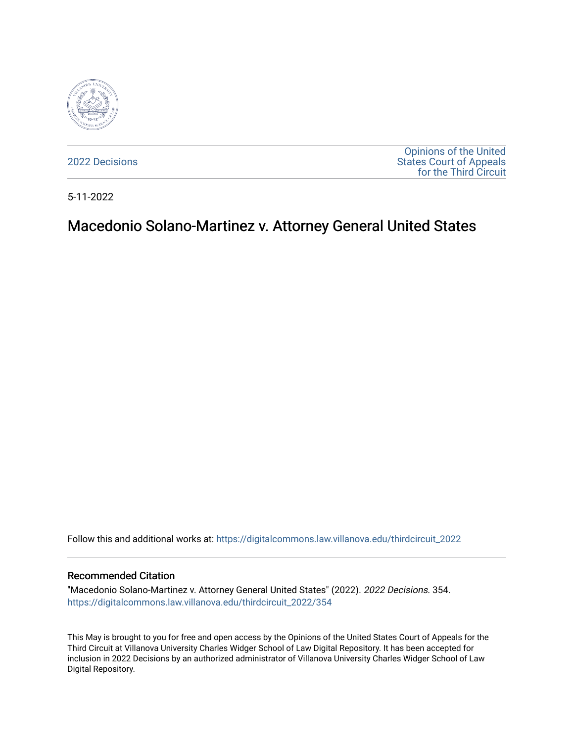

[2022 Decisions](https://digitalcommons.law.villanova.edu/thirdcircuit_2022)

[Opinions of the United](https://digitalcommons.law.villanova.edu/thirdcircuit)  [States Court of Appeals](https://digitalcommons.law.villanova.edu/thirdcircuit)  [for the Third Circuit](https://digitalcommons.law.villanova.edu/thirdcircuit) 

5-11-2022

# Macedonio Solano-Martinez v. Attorney General United States

Follow this and additional works at: [https://digitalcommons.law.villanova.edu/thirdcircuit\\_2022](https://digitalcommons.law.villanova.edu/thirdcircuit_2022?utm_source=digitalcommons.law.villanova.edu%2Fthirdcircuit_2022%2F354&utm_medium=PDF&utm_campaign=PDFCoverPages) 

#### Recommended Citation

"Macedonio Solano-Martinez v. Attorney General United States" (2022). 2022 Decisions. 354. [https://digitalcommons.law.villanova.edu/thirdcircuit\\_2022/354](https://digitalcommons.law.villanova.edu/thirdcircuit_2022/354?utm_source=digitalcommons.law.villanova.edu%2Fthirdcircuit_2022%2F354&utm_medium=PDF&utm_campaign=PDFCoverPages)

This May is brought to you for free and open access by the Opinions of the United States Court of Appeals for the Third Circuit at Villanova University Charles Widger School of Law Digital Repository. It has been accepted for inclusion in 2022 Decisions by an authorized administrator of Villanova University Charles Widger School of Law Digital Repository.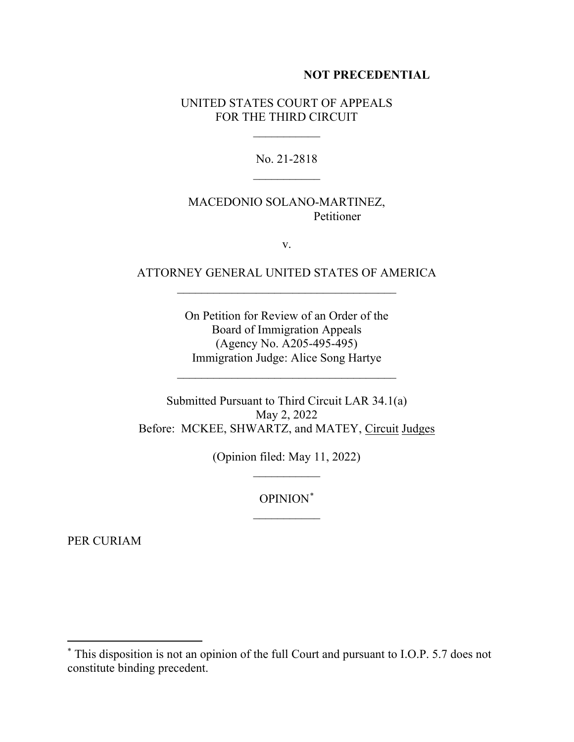#### **NOT PRECEDENTIAL**

### UNITED STATES COURT OF APPEALS FOR THE THIRD CIRCUIT

 $\frac{1}{2}$ 

No. 21-2818  $\frac{1}{2}$ 

# MACEDONIO SOLANO-MARTINEZ, Petitioner

v.

# ATTORNEY GENERAL UNITED STATES OF AMERICA  $\mathcal{L}_\text{max}$  and  $\mathcal{L}_\text{max}$  and  $\mathcal{L}_\text{max}$  and  $\mathcal{L}_\text{max}$

On Petition for Review of an Order of the Board of Immigration Appeals (Agency No. A205-495-495) Immigration Judge: Alice Song Hartye

 $\mathcal{L}_\text{max}$  , where  $\mathcal{L}_\text{max}$  is the set of  $\mathcal{L}_\text{max}$ 

Submitted Pursuant to Third Circuit LAR 34.1(a) May 2, 2022 Before: MCKEE, SHWARTZ, and MATEY, Circuit Judges

> (Opinion filed: May 11, 2022)  $\overline{\phantom{a}}$

> > OPINION\*

PER CURIAM

<sup>\*</sup> This disposition is not an opinion of the full Court and pursuant to I.O.P. 5.7 does not constitute binding precedent.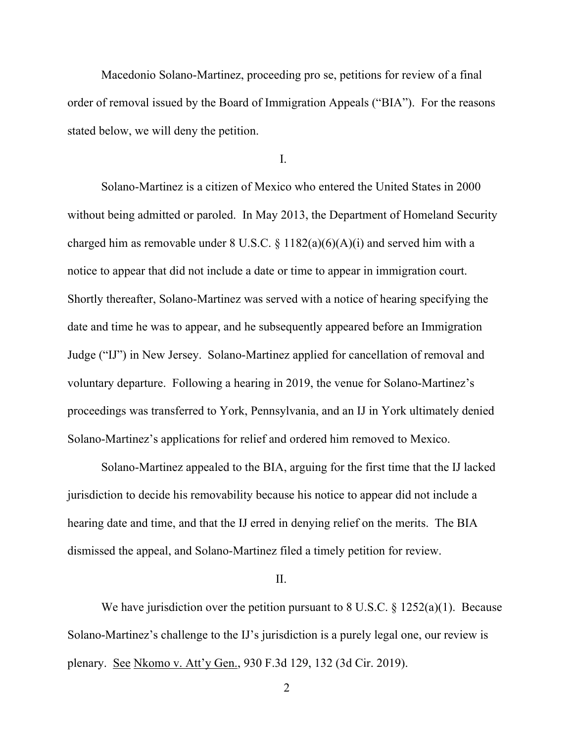Macedonio Solano-Martinez, proceeding pro se, petitions for review of a final order of removal issued by the Board of Immigration Appeals ("BIA"). For the reasons stated below, we will deny the petition.

I.

Solano-Martinez is a citizen of Mexico who entered the United States in 2000 without being admitted or paroled. In May 2013, the Department of Homeland Security charged him as removable under  $8 \text{ U.S.C. } \frac{6}{9}(4)(6)(A)(i)$  and served him with a notice to appear that did not include a date or time to appear in immigration court. Shortly thereafter, Solano-Martinez was served with a notice of hearing specifying the date and time he was to appear, and he subsequently appeared before an Immigration Judge ("IJ") in New Jersey. Solano-Martinez applied for cancellation of removal and voluntary departure. Following a hearing in 2019, the venue for Solano-Martinez's proceedings was transferred to York, Pennsylvania, and an IJ in York ultimately denied Solano-Martinez's applications for relief and ordered him removed to Mexico.

Solano-Martinez appealed to the BIA, arguing for the first time that the IJ lacked jurisdiction to decide his removability because his notice to appear did not include a hearing date and time, and that the IJ erred in denying relief on the merits. The BIA dismissed the appeal, and Solano-Martinez filed a timely petition for review.

#### II.

We have jurisdiction over the petition pursuant to 8 U.S.C.  $\S$  1252(a)(1). Because Solano-Martinez's challenge to the IJ's jurisdiction is a purely legal one, our review is plenary. See Nkomo v. Att'y Gen., 930 F.3d 129, 132 (3d Cir. 2019).

2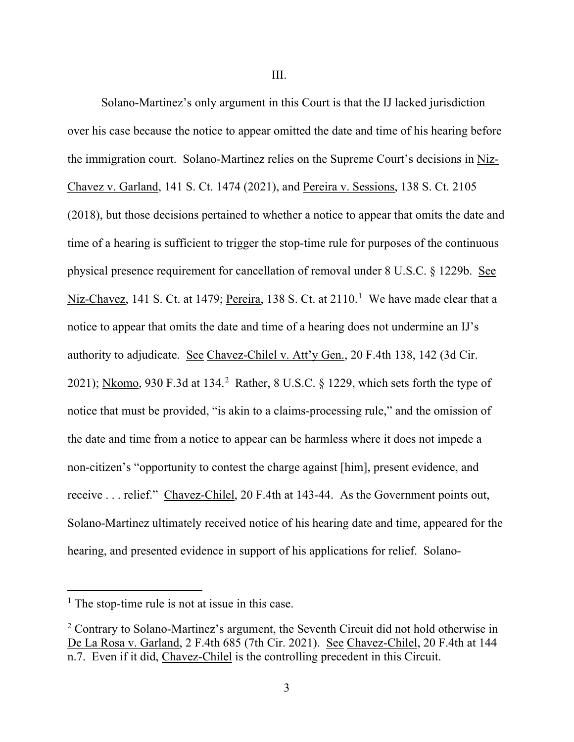Solano-Martinez's only argument in this Court is that the IJ lacked jurisdiction over his case because the notice to appear omitted the date and time of his hearing before the immigration court. Solano-Martinez relies on the Supreme Court's decisions in Niz-Chavez v. Garland, 141 S. Ct. 1474 (2021), and Pereira v. Sessions, 138 S. Ct. 2105 (2018), but those decisions pertained to whether a notice to appear that omits the date and time of a hearing is sufficient to trigger the stop-time rule for purposes of the continuous physical presence requirement for cancellation of removal under 8 U.S.C. § 1229b. See Niz-Chavez, 141 S. Ct. at 1479; Pereira, 138 S. Ct. at 2110.<sup>1</sup> We have made clear that a notice to appear that omits the date and time of a hearing does not undermine an IJ's authority to adjudicate. See Chavez-Chilel v. Att'y Gen., 20 F.4th 138, 142 (3d Cir. 2021); Nkomo, 930 F.3d at 134.<sup>2</sup> Rather, 8 U.S.C. § 1229, which sets forth the type of notice that must be provided, "is akin to a claims-processing rule," and the omission of the date and time from a notice to appear can be harmless where it does not impede a non-citizen's "opportunity to contest the charge against [him], present evidence, and receive . . . relief." Chavez-Chilel, 20 F.4th at 143-44. As the Government points out, Solano-Martinez ultimately received notice of his hearing date and time, appeared for the hearing, and presented evidence in support of his applications for relief. Solano-

 $<sup>1</sup>$  The stop-time rule is not at issue in this case.</sup>

<sup>&</sup>lt;sup>2</sup> Contrary to Solano-Martinez's argument, the Seventh Circuit did not hold otherwise in De La Rosa v. Garland, 2 F.4th 685 (7th Cir. 2021). See Chavez-Chilel, 20 F.4th at 144 n.7. Even if it did, Chavez-Chilel is the controlling precedent in this Circuit.